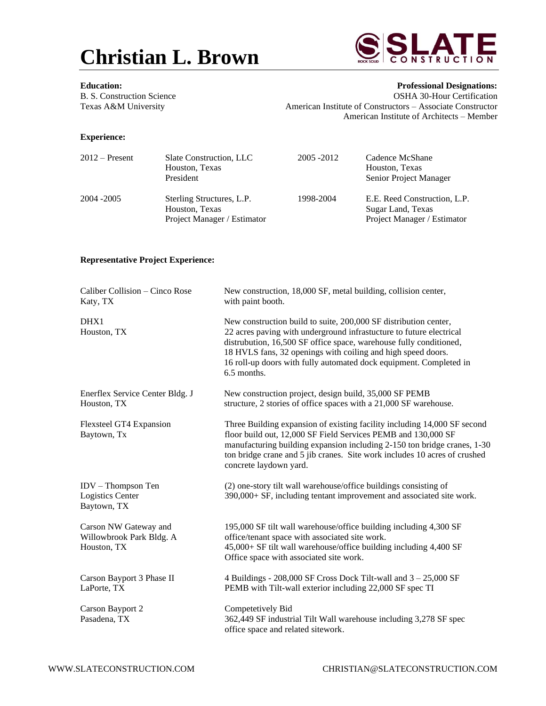



**Education: Professional Designations:** B. S. Construction Science **OSHA 30-Hour Certification** Texas A&M University **American Institute of Constructors** – Associate Constructor American Institute of Architects – Member

## **Experience:**

| $2012$ – Present | Slate Construction, LLC<br>Houston, Texas<br>President                     | 2005 - 2012 | Cadence McShane<br>Houston, Texas<br><b>Senior Project Manager</b>               |
|------------------|----------------------------------------------------------------------------|-------------|----------------------------------------------------------------------------------|
| 2004 - 2005      | Sterling Structures, L.P.<br>Houston, Texas<br>Project Manager / Estimator | 1998-2004   | E.E. Reed Construction, L.P.<br>Sugar Land, Texas<br>Project Manager / Estimator |

## **Representative Project Experience:**

| Caliber Collision - Cinco Rose<br>Katy, TX                       | New construction, 18,000 SF, metal building, collision center,<br>with paint booth.                                                                                                                                                                                                                                                                                |
|------------------------------------------------------------------|--------------------------------------------------------------------------------------------------------------------------------------------------------------------------------------------------------------------------------------------------------------------------------------------------------------------------------------------------------------------|
| DHX1<br>Houston, TX                                              | New construction build to suite, 200,000 SF distribution center,<br>22 acres paving with underground infrastucture to future electrical<br>distrubution, 16,500 SF office space, warehouse fully conditioned,<br>18 HVLS fans, 32 openings with coiling and high speed doors.<br>16 roll-up doors with fully automated dock equipment. Completed in<br>6.5 months. |
| Enerflex Service Center Bldg. J<br>Houston, TX                   | New construction project, design build, 35,000 SF PEMB<br>structure, 2 stories of office spaces with a 21,000 SF warehouse.                                                                                                                                                                                                                                        |
| <b>Flexsteel GT4 Expansion</b><br>Baytown, Tx                    | Three Building expansion of existing facility including 14,000 SF second<br>floor build out, 12,000 SF Field Services PEMB and 130,000 SF<br>manufacturing building expansion including 2-150 ton bridge cranes, 1-30<br>ton bridge crane and 5 jib cranes. Site work includes 10 acres of crushed<br>concrete laydown yard.                                       |
| IDV - Thompson Ten<br><b>Logistics Center</b><br>Baytown, TX     | (2) one-story tilt wall warehouse/office buildings consisting of<br>390,000+ SF, including tentant improvement and associated site work.                                                                                                                                                                                                                           |
| Carson NW Gateway and<br>Willowbrook Park Bldg. A<br>Houston, TX | 195,000 SF tilt wall warehouse/office building including 4,300 SF<br>office/tenant space with associated site work.<br>45,000+ SF tilt wall warehouse/office building including 4,400 SF<br>Office space with associated site work.                                                                                                                                |
| Carson Bayport 3 Phase II<br>LaPorte, TX                         | 4 Buildings - $208,000$ SF Cross Dock Tilt-wall and $3 - 25,000$ SF<br>PEMB with Tilt-wall exterior including 22,000 SF spec TI                                                                                                                                                                                                                                    |
| Carson Bayport 2<br>Pasadena, TX                                 | Competetively Bid<br>362,449 SF industrial Tilt Wall warehouse including 3,278 SF spec<br>office space and related sitework.                                                                                                                                                                                                                                       |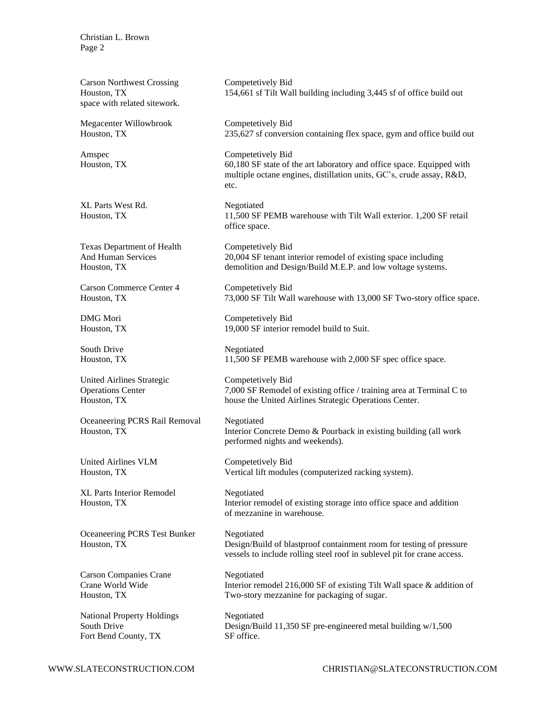Carson Northwest Crossing Competetively Bid space with related sitework.

Megacenter Willowbrook Competetively Bid

XL Parts West Rd. Negotiated

Texas Department of Health Competetively Bid

Carson Commerce Center 4 Competetively Bid

United Airlines Strategic Competetively Bid

Oceaneering PCRS Rail Removal Negotiated

United Airlines VLM Competetively Bid

XL Parts Interior Remodel Negotiated

Oceaneering PCRS Test Bunker Negotiated

Carson Companies Crane Negotiated

National Property Holdings Negotiated Fort Bend County, TX SF office.

Houston, TX 154,661 sf Tilt Wall building including 3,445 sf of office build out

Houston, TX 235,627 sf conversion containing flex space, gym and office build out

Amspec Competetively Bid Houston, TX 60,180 SF state of the art laboratory and office space. Equipped with multiple octane engines, distillation units, GC's, crude assay, R&D, etc.

Houston, TX 11,500 SF PEMB warehouse with Tilt Wall exterior. 1,200 SF retail office space.

And Human Services 20,004 SF tenant interior remodel of existing space including Houston, TX demolition and Design/Build M.E.P. and low voltage systems.

Houston, TX 73,000 SF Tilt Wall warehouse with 13,000 SF Two-story office space.

DMG Mori Competetively Bid Houston, TX 19,000 SF interior remodel build to Suit.

South Drive Negotiated Houston, TX 11,500 SF PEMB warehouse with 2,000 SF spec office space.

Operations Center 7,000 SF Remodel of existing office / training area at Terminal C to Houston, TX house the United Airlines Strategic Operations Center.

Houston, TX Interior Concrete Demo & Pourback in existing building (all work performed nights and weekends).

Houston, TX Vertical lift modules (computerized racking system).

Houston, TX Interior remodel of existing storage into office space and addition of mezzanine in warehouse.

Houston, TX Design/Build of blastproof containment room for testing of pressure vessels to include rolling steel roof in sublevel pit for crane access.

Crane World Wide Interior remodel 216,000 SF of existing Tilt Wall space & addition of Houston, TX Two-story mezzanine for packaging of sugar.

South Drive Design/Build 11,350 SF pre-engineered metal building w/1,500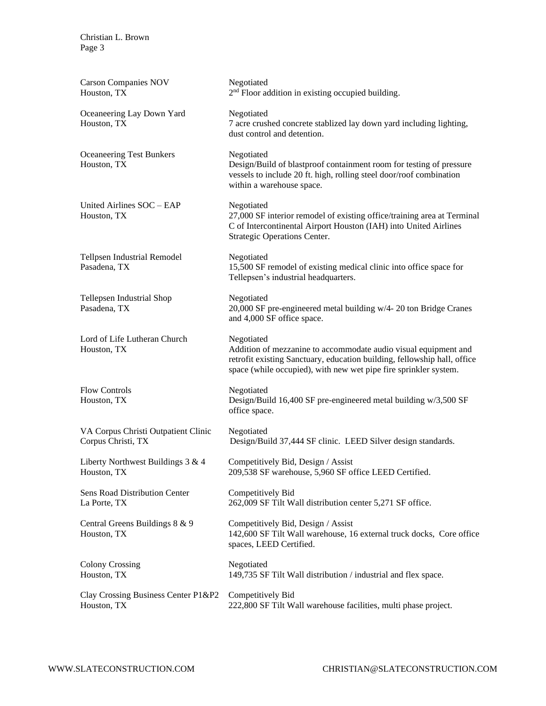| <b>Carson Companies NOV</b><br>Houston, TX                | Negotiated<br>2 <sup>nd</sup> Floor addition in existing occupied building.                                                                                                                                                   |
|-----------------------------------------------------------|-------------------------------------------------------------------------------------------------------------------------------------------------------------------------------------------------------------------------------|
| Oceaneering Lay Down Yard<br>Houston, TX                  | Negotiated<br>7 acre crushed concrete stablized lay down yard including lighting,<br>dust control and detention.                                                                                                              |
| <b>Oceaneering Test Bunkers</b><br>Houston, TX            | Negotiated<br>Design/Build of blastproof containment room for testing of pressure<br>vessels to include 20 ft. high, rolling steel door/roof combination<br>within a warehouse space.                                         |
| United Airlines SOC - EAP<br>Houston, TX                  | Negotiated<br>27,000 SF interior remodel of existing office/training area at Terminal<br>C of Intercontinental Airport Houston (IAH) into United Airlines<br>Strategic Operations Center.                                     |
| <b>Tellpsen Industrial Remodel</b><br>Pasadena, TX        | Negotiated<br>15,500 SF remodel of existing medical clinic into office space for<br>Tellepsen's industrial headquarters.                                                                                                      |
| Tellepsen Industrial Shop<br>Pasadena, TX                 | Negotiated<br>20,000 SF pre-engineered metal building w/4- 20 ton Bridge Cranes<br>and 4,000 SF office space.                                                                                                                 |
| Lord of Life Lutheran Church<br>Houston, TX               | Negotiated<br>Addition of mezzanine to accommodate audio visual equipment and<br>retrofit existing Sanctuary, education building, fellowship hall, office<br>space (while occupied), with new wet pipe fire sprinkler system. |
| <b>Flow Controls</b><br>Houston, TX                       | Negotiated<br>Design/Build 16,400 SF pre-engineered metal building w/3,500 SF<br>office space.                                                                                                                                |
| VA Corpus Christi Outpatient Clinic<br>Corpus Christi, TX | Negotiated<br>Design/Build 37,444 SF clinic. LEED Silver design standards.                                                                                                                                                    |
| Liberty Northwest Buildings $3 & 4$<br>Houston, TX        | Competitively Bid, Design / Assist<br>209,538 SF warehouse, 5,960 SF office LEED Certified.                                                                                                                                   |
| Sens Road Distribution Center<br>La Porte, TX             | Competitively Bid<br>262,009 SF Tilt Wall distribution center 5,271 SF office.                                                                                                                                                |
| Central Greens Buildings 8 & 9<br>Houston, TX             | Competitively Bid, Design / Assist<br>142,600 SF Tilt Wall warehouse, 16 external truck docks, Core office<br>spaces, LEED Certified.                                                                                         |
| <b>Colony Crossing</b><br>Houston, TX                     | Negotiated<br>149,735 SF Tilt Wall distribution / industrial and flex space.                                                                                                                                                  |
| Clay Crossing Business Center P1&P2<br>Houston, TX        | Competitively Bid<br>222,800 SF Tilt Wall warehouse facilities, multi phase project.                                                                                                                                          |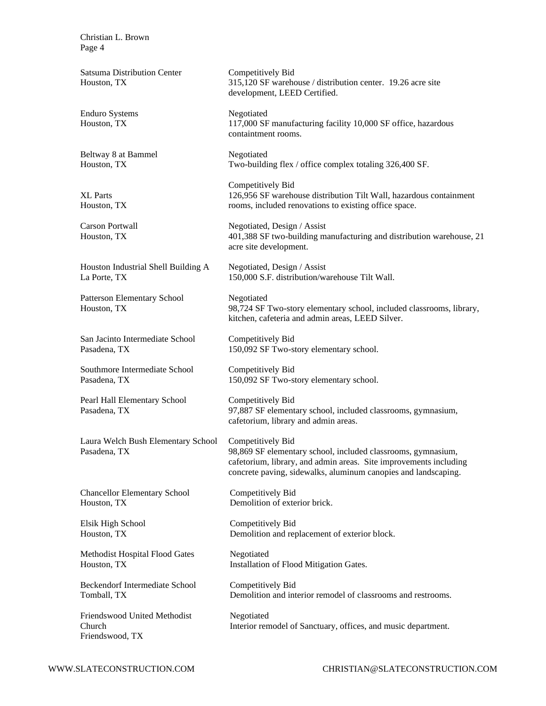Satsuma Distribution Center Houston, TX Enduro Systems Houston, TX

Beltway 8 at Bammel Houston, TX

XL Parts Houston, TX

Carson Portwall Houston, TX

Houston Industrial Shell Building A La Porte, TX

Patterson Elementary School Houston, TX

San Jacinto Intermediate School Pasadena, TX

Southmore Intermediate School Pasadena, TX

Pearl Hall Elementary School Pasadena, TX

Laura Welch Bush Elementary School Pasadena, TX

Chancellor Elementary School Houston, TX

Elsik High School Houston, TX

Methodist Hospital Flood Gates Houston, TX

Beckendorf Intermediate School Tomball, TX

Friendswood United Methodist Church Friendswood, TX

Competitively Bid 315,120 SF warehouse / distribution center. 19.26 acre site development, LEED Certified.

Negotiated 117,000 SF manufacturing facility 10,000 SF office, hazardous containtment rooms.

Negotiated Two-building flex / office complex totaling 326,400 SF.

Competitively Bid 126,956 SF warehouse distribution Tilt Wall, hazardous containment rooms, included renovations to existing office space.

Negotiated, Design / Assist 401,388 SF two-building manufacturing and distribution warehouse, 21 acre site development.

Negotiated, Design / Assist 150,000 S.F. distribution/warehouse Tilt Wall.

Negotiated 98,724 SF Two-story elementary school, included classrooms, library, kitchen, cafeteria and admin areas, LEED Silver.

Competitively Bid 150,092 SF Two-story elementary school.

Competitively Bid 150,092 SF Two-story elementary school.

Competitively Bid 97,887 SF elementary school, included classrooms, gymnasium, cafetorium, library and admin areas.

Competitively Bid 98,869 SF elementary school, included classrooms, gymnasium, cafetorium, library, and admin areas. Site improvements including concrete paving, sidewalks, aluminum canopies and landscaping.

Competitively Bid Demolition of exterior brick.

Competitively Bid Demolition and replacement of exterior block.

Negotiated Installation of Flood Mitigation Gates.

Competitively Bid Demolition and interior remodel of classrooms and restrooms.

Negotiated Interior remodel of Sanctuary, offices, and music department.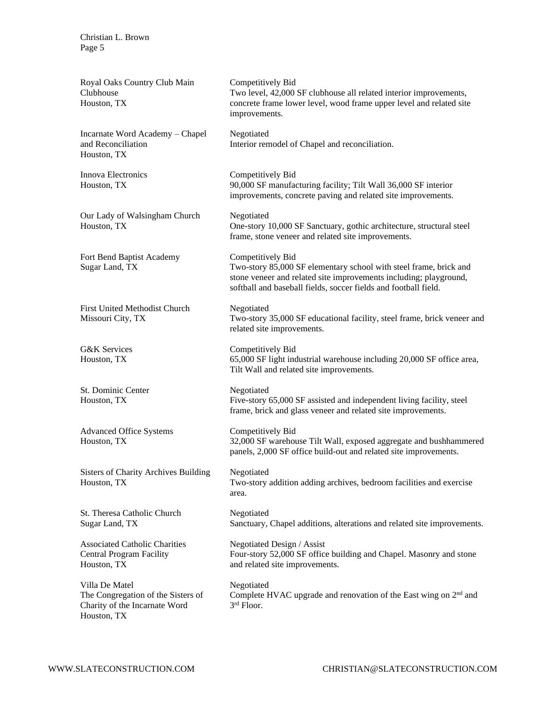| Royal Oaks Country Club Main<br>Clubhouse<br>Houston, TX                                             | Competitively Bid<br>Two level, 42,000 SF clubhouse all related interior improvements,<br>concrete frame lower level, wood frame upper level and related site<br>improvements.                                                 |
|------------------------------------------------------------------------------------------------------|--------------------------------------------------------------------------------------------------------------------------------------------------------------------------------------------------------------------------------|
| Incarnate Word Academy - Chapel<br>and Reconciliation<br>Houston, TX                                 | Negotiated<br>Interior remodel of Chapel and reconciliation.                                                                                                                                                                   |
| Innova Electronics<br>Houston, TX                                                                    | Competitively Bid<br>90,000 SF manufacturing facility; Tilt Wall 36,000 SF interior<br>improvements, concrete paving and related site improvements.                                                                            |
| Our Lady of Walsingham Church<br>Houston, TX                                                         | Negotiated<br>One-story 10,000 SF Sanctuary, gothic architecture, structural steel<br>frame, stone veneer and related site improvements.                                                                                       |
| Fort Bend Baptist Academy<br>Sugar Land, TX                                                          | Competitively Bid<br>Two-story 85,000 SF elementary school with steel frame, brick and<br>stone veneer and related site improvements including; playground,<br>softball and baseball fields, soccer fields and football field. |
| <b>First United Methodist Church</b><br>Missouri City, TX                                            | Negotiated<br>Two-story 35,000 SF educational facility, steel frame, brick veneer and<br>related site improvements.                                                                                                            |
| <b>G&amp;K</b> Services<br>Houston, TX                                                               | Competitively Bid<br>65,000 SF light industrial warehouse including 20,000 SF office area,<br>Tilt Wall and related site improvements.                                                                                         |
| St. Dominic Center<br>Houston, TX                                                                    | Negotiated<br>Five-story 65,000 SF assisted and independent living facility, steel<br>frame, brick and glass veneer and related site improvements.                                                                             |
| <b>Advanced Office Systems</b><br>Houston, TX                                                        | Competitively Bid<br>32,000 SF warehouse Tilt Wall, exposed aggregate and bushhammered<br>panels, 2,000 SF office build-out and related site improvements.                                                                     |
| <b>Sisters of Charity Archives Building</b><br>Houston, TX                                           | Negotiated<br>Two-story addition adding archives, bedroom facilities and exercise<br>area.                                                                                                                                     |
| St. Theresa Catholic Church<br>Sugar Land, TX                                                        | Negotiated<br>Sanctuary, Chapel additions, alterations and related site improvements.                                                                                                                                          |
| <b>Associated Catholic Charities</b><br><b>Central Program Facility</b><br>Houston, TX               | Negotiated Design / Assist<br>Four-story 52,000 SF office building and Chapel. Masonry and stone<br>and related site improvements.                                                                                             |
| Villa De Matel<br>The Congregation of the Sisters of<br>Charity of the Incarnate Word<br>Houston, TX | Negotiated<br>Complete HVAC upgrade and renovation of the East wing on 2 <sup>nd</sup> and<br>3rd Floor.                                                                                                                       |